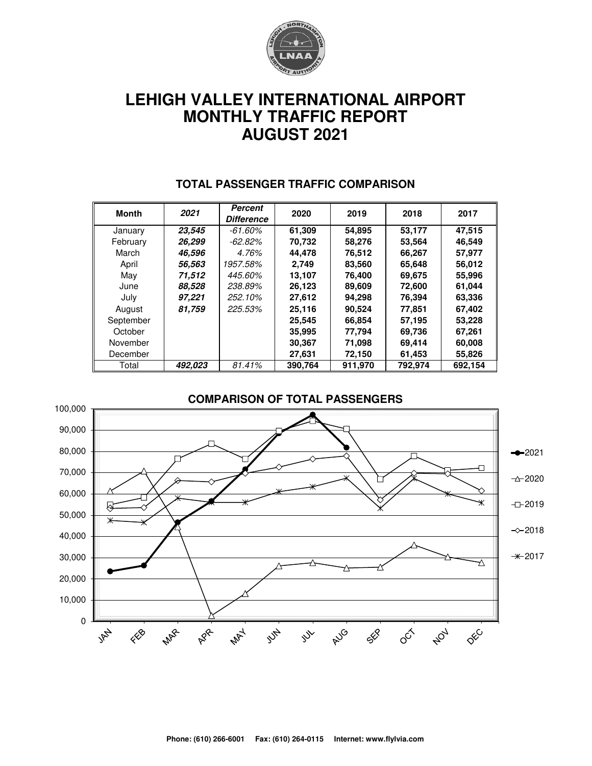

# **LEHIGH VALLEY INTERNATIONAL AIRPORT MONTHLY TRAFFIC REPORT AUGUST 2021**

| <b>Month</b> | 2021    | <b>Percent</b><br><b>Difference</b> | 2020    | 2019    | 2018    | 2017    |  |
|--------------|---------|-------------------------------------|---------|---------|---------|---------|--|
|              |         |                                     |         |         |         |         |  |
| January      | 23,545  | -61.60%                             | 61,309  | 54,895  | 53,177  | 47,515  |  |
| February     | 26,299  | -62.82%                             | 70,732  | 58,276  | 53,564  | 46,549  |  |
| March        | 46,596  | 4.76%                               | 44.478  | 76,512  | 66,267  | 57.977  |  |
| April        | 56,563  | 1957.58%                            | 2,749   | 83,560  | 65,648  | 56,012  |  |
| May          | 71,512  | 445.60%                             | 13.107  | 76,400  | 69,675  | 55,996  |  |
| June         | 88,528  | 238.89%                             | 26,123  | 89,609  | 72,600  | 61,044  |  |
| July         | 97,221  | 252.10%                             | 27,612  | 94,298  | 76,394  | 63,336  |  |
| August       | 81,759  | 225.53%                             | 25,116  | 90,524  | 77,851  | 67,402  |  |
| September    |         |                                     | 25,545  | 66,854  | 57,195  | 53,228  |  |
| October      |         |                                     | 35,995  | 77,794  | 69,736  | 67,261  |  |
| November     |         |                                     | 30,367  | 71,098  | 69,414  | 60,008  |  |
| December     |         |                                     | 27.631  | 72,150  | 61,453  | 55,826  |  |
| Total        | 492.023 | 81.41%                              | 390.764 | 911.970 | 792.974 | 692.154 |  |

#### **TOTAL PASSENGER TRAFFIC COMPARISON**

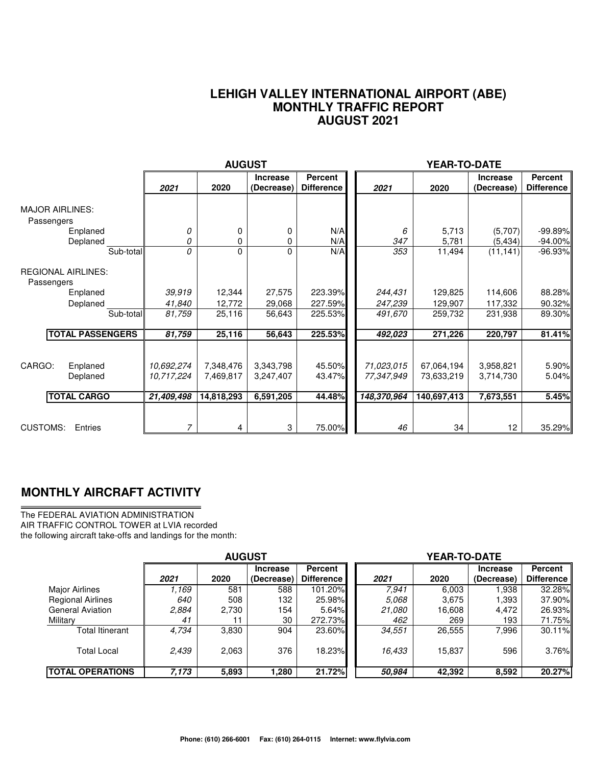#### **LEHIGH VALLEY INTERNATIONAL AIRPORT (ABE) MONTHLY TRAFFIC REPORT AUGUST 2021**

|                                                                 |                                         | <b>AUGUST</b>              |                               |                                     |                               | YEAR-TO-DATE                  |                               |                              |
|-----------------------------------------------------------------|-----------------------------------------|----------------------------|-------------------------------|-------------------------------------|-------------------------------|-------------------------------|-------------------------------|------------------------------|
|                                                                 | 2021                                    | 2020                       | <b>Increase</b><br>(Decrease) | <b>Percent</b><br><b>Difference</b> | 2021                          | 2020                          | <b>Increase</b><br>(Decrease) | Percent<br><b>Difference</b> |
| <b>MAJOR AIRLINES:</b><br>Passengers<br>Enplaned                | 0                                       | 0                          | 0                             | N/A                                 | 6                             | 5,713                         | (5,707)                       | $-99.89%$                    |
| Deplaned                                                        | 0<br>Sub-total<br>0                     | 0<br>0                     | 0<br>0                        | N/A<br>N/A                          | 347<br>353                    | 5,781<br>11,494               | (5, 434)<br>(11, 141)         | $-94.00\%$<br>$-96.93%$      |
| <b>REGIONAL AIRLINES:</b><br>Passengers<br>Enplaned<br>Deplaned | 39,919<br>41,840<br>Sub-total<br>81,759 | 12,344<br>12,772<br>25,116 | 27,575<br>29,068<br>56,643    | 223.39%<br>227.59%<br>225.53%       | 244,431<br>247,239<br>491,670 | 129,825<br>129,907<br>259,732 | 114,606<br>117,332<br>231,938 | 88.28%<br>90.32%<br>89.30%   |
| <b>TOTAL PASSENGERS</b>                                         | 81,759                                  | 25,116                     | 56,643                        | 225.53%                             | 492,023                       | 271,226                       | 220,797                       | 81.41%                       |
| CARGO:<br>Enplaned<br>Deplaned                                  | 10,692,274<br>10,717,224                | 7,348,476<br>7,469,817     | 3,343,798<br>3,247,407        | 45.50%<br>43.47%                    | 71,023,015<br>77,347,949      | 67,064,194<br>73,633,219      | 3,958,821<br>3,714,730        | 5.90%<br>5.04%               |
| <b>TOTAL CARGO</b>                                              | 21,409,498                              | 14,818,293                 | 6,591,205                     | 44.48%                              | 148,370,964                   | 140,697,413                   | 7,673,551                     | 5.45%                        |
| <b>CUSTOMS:</b><br>Entries                                      | 7                                       | 4                          | 3                             | 75.00%                              | 46                            | 34                            | 12 <sup>2</sup>               | 35.29%                       |

### **MONTHLY AIRCRAFT ACTIVITY**

The FEDERAL AVIATION ADMINISTRATION AIR TRAFFIC CONTROL TOWER at LVIA recorded the following aircraft take-offs and landings for the month:

|                          | <b>AUGUST</b> |       |                               |                                     | YEAR-TO-DATE |        |                               |                                     |  |  |
|--------------------------|---------------|-------|-------------------------------|-------------------------------------|--------------|--------|-------------------------------|-------------------------------------|--|--|
|                          | 2021          | 2020  | <b>Increase</b><br>(Decrease) | <b>Percent</b><br><b>Difference</b> | 2021         | 2020   | <b>Increase</b><br>(Decrease) | <b>Percent</b><br><b>Difference</b> |  |  |
| <b>Major Airlines</b>    | 1.169         | 581   | 588                           | 101.20%                             | 7.941        | 6,003  | .938                          | 32.28%                              |  |  |
| <b>Regional Airlines</b> | 640           | 508   | 132                           | 25.98%                              | 5.068        | 3,675  | 1.393                         | 37.90%                              |  |  |
| <b>General Aviation</b>  | 2,884         | 2,730 | 154                           | 5.64%                               | 21.080       | 16,608 | 4,472                         | 26.93%                              |  |  |
| Military                 | 41            |       | 30                            | 272.73%                             | 462          | 269    | 193                           | 71.75%I                             |  |  |
| Total Itinerant          | 4,734         | 3,830 | 904                           | 23.60%                              | 34,551       | 26,555 | 7,996                         | 30.11%                              |  |  |
| <b>Total Local</b>       | 2,439         | 2,063 | 376                           | 18.23%                              | 16,433       | 15,837 | 596                           | 3.76%                               |  |  |
| <b>TOTAL OPERATIONS</b>  | 7,173         | 5,893 | 1.280                         | 21.72%                              | 50,984       | 42,392 | 8,592                         | 20.27%                              |  |  |